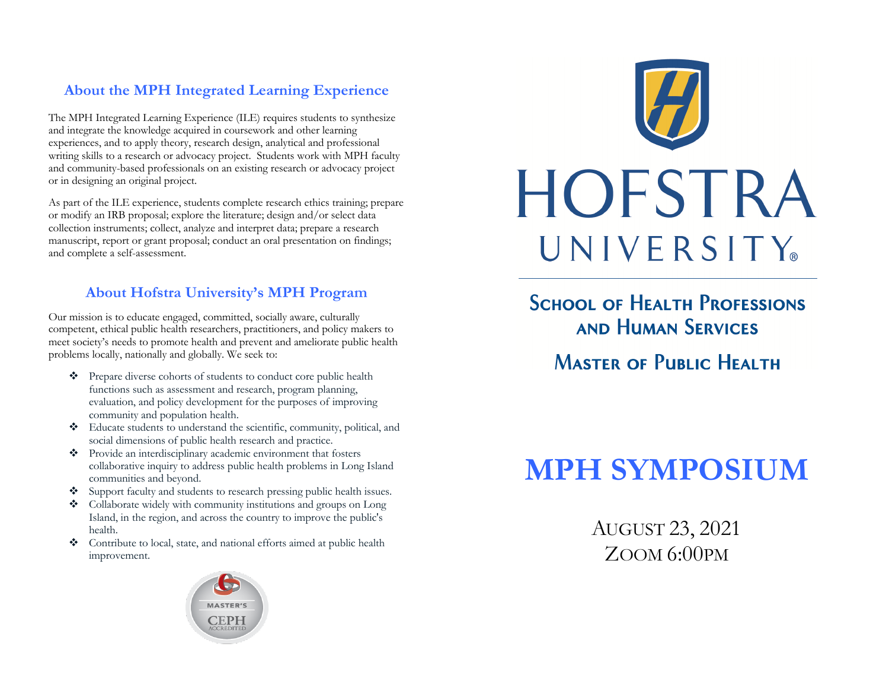# **About the MPH Integrated Learning Experience**

 The MPH Integrated Learning Experience (ILE) requires students to synthesize and integrate the knowledge acquired in coursework and other learning experiences, and to apply theory, research design, analytical and professional writing skills to a research or advocacy project. Students work with MPH faculty or in designing an original project. and community-based professionals on an existing research or advocacy project

or in designing an original project.<br>As part of the ILE experience, students complete research ethics training; prepare or modify an IRB proposal; explore the literature; design and/or select data collection instruments; collect, analyze and interpret data; prepare a research manuscript, report or grant proposal; conduct an oral presentation on findings; and complete a self-assessment.

# **About Hofstra University's MPH Program**

 Our mission is to educate engaged, committed, socially aware, culturally competent, ethical public health researchers, practitioners, and policy makers to meet society's needs to promote health and prevent and ameliorate public health problems locally, nationally and globally. We seek to:

- • Prepare diverse cohorts of students to conduct core public health functions such as assessment and research, program planning, evaluation, and policy development for the purposes of improving community and population health.
- • Educate students to understand the scientific, community, political, and social dimensions of public health research and practice.
- • Provide an interdisciplinary academic environment that fosters collaborative inquiry to address public health problems in Long Island communities and beyond.
- Support faculty and students to research pressing public health issues.
- • Collaborate widely with community institutions and groups on Long Island, in the region, and across the country to improve the public's health.
- • Contribute to local, state, and national efforts aimed at public health improvement.





**SCHOOL OF HEALTH PROFESSIONS AND HUMAN SERVICES MASTER OF PUBLIC HEALTH** 

# **MPH SYMPOSIUM**

AUGUST 23, 2021 ZOOM 6:00PM